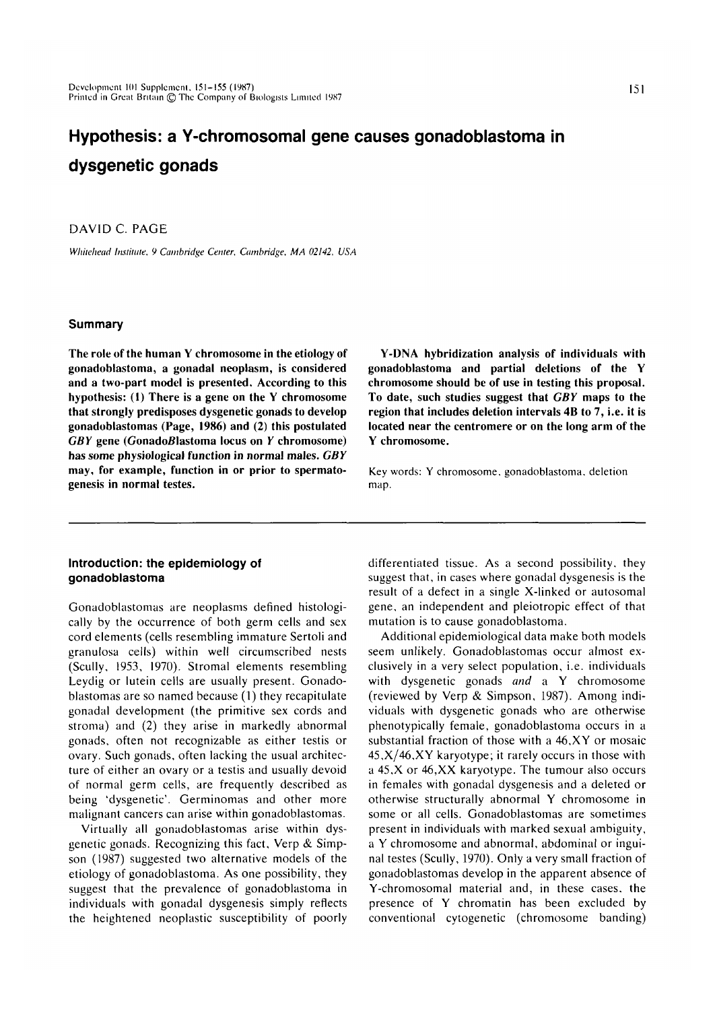# **Hypothesis: a Y-chromosomal gene causes gonadoblastoma in dysgenetic gonads**

# DAVID C. PAGE

*Whiichcad Institute. 9 Cambridge Center. Cambridge, MA 02142. USA*

## **Summary**

**The role of the human Y chromosome in the etiology of gonadoblastoma, a gonadal neoplasm, is considered and a two-part model is presented. According to this hypothesis: (1) There is a gene on the Y chromosome that strongly predisposes dysgenetic gonads to develop gonadoblastomas (Page, 1986) and (2) this postulated** *GBY* **gene (GonadoBlastoma locus on** *Y* **chromosome) has some physiological function in normal males.** *GBY* **may, for example, function in or prior to spermatogenesis in normal testes.**

**Y-DNA hybridization analysis of individuals with gonadoblastoma and partial deletions of the Y chromosome should be of use in testing this proposal. To date, such studies suggest that** *GBY* **maps to the region that includes deletion intervals 4B to 7, i.e. it is located near the centromere or on the long arm of the Y chromosome.**

Key words: Y chromosome, gonadoblastoma. deletion map.

# **Introduction: the epidemiology of gonadoblastoma**

Gonadoblastomas are neoplasms defined histologically by the occurrence of both germ cells and sex cord elements (cells resembling immature Sertoli and granulosa cells) within well circumscribed nests (Scully, 1953, 1970). Stromal elements resembling Leydig or lutein cells are usually present. Gonadoblastomas are so named because (1) they recapitulate gonadal development (the primitive sex cords and stroma) and (2) they arise in markedly abnormal gonads, often not recognizable as either testis or ovary. Such gonads, often lacking the usual architecture of either an ovary or a testis and usually devoid of normal germ cells, are frequently described as being 'dysgenetic'. Germinomas and other more malignant cancers can arise within gonadoblastomas.

Virtually all gonadoblastomas arise within dysgenetic gonads. Recognizing this fact, Verp & Simpson (1987) suggested two alternative models of the etiology of gonadoblastoma. As one possibility, they suggest that the prevalence of gonadoblastoma in individuals with gonadal dysgenesis simply reflects the heightened neoplastic susceptibility of poorly differentiated tissue. As a second possibility, they suggest that, in cases where gonadal dysgenesis is the result of a defect in a single X-linked or autosomal gene, an independent and pleiotropic effect of that mutation is to cause gonadoblastoma.

Additional epidemiological data make both models seem unlikely. Gonadoblastomas occur almost exclusively in a very select population, i.e. individuals with dysgenetic gonads *and* a Y chromosome (reviewed by Verp & Simpson, 1987). Among individuals with dysgenetic gonads who are otherwise phenotypically female, gonadoblastoma occurs in a substantial fraction of those with a 46,XY or mosaic  $45, X/46, XY$  karyotype; it rarely occurs in those with a 45,X or 46,XX karyotype. The tumour also occurs in females with gonadal dysgenesis and a deleted or otherwise structurally abnormal Y chromosome in some or all cells. Gonadoblastomas are sometimes present in individuals with marked sexual ambiguity, a Y chromosome and abnormal, abdominal or inguinal testes (Scully, 1970). Only a very small fraction of gonadoblastomas develop in the apparent absence of Y-chromosomal material and, in these cases, the presence of Y chromatin has been excluded by conventional cytogenetic (chromosome banding)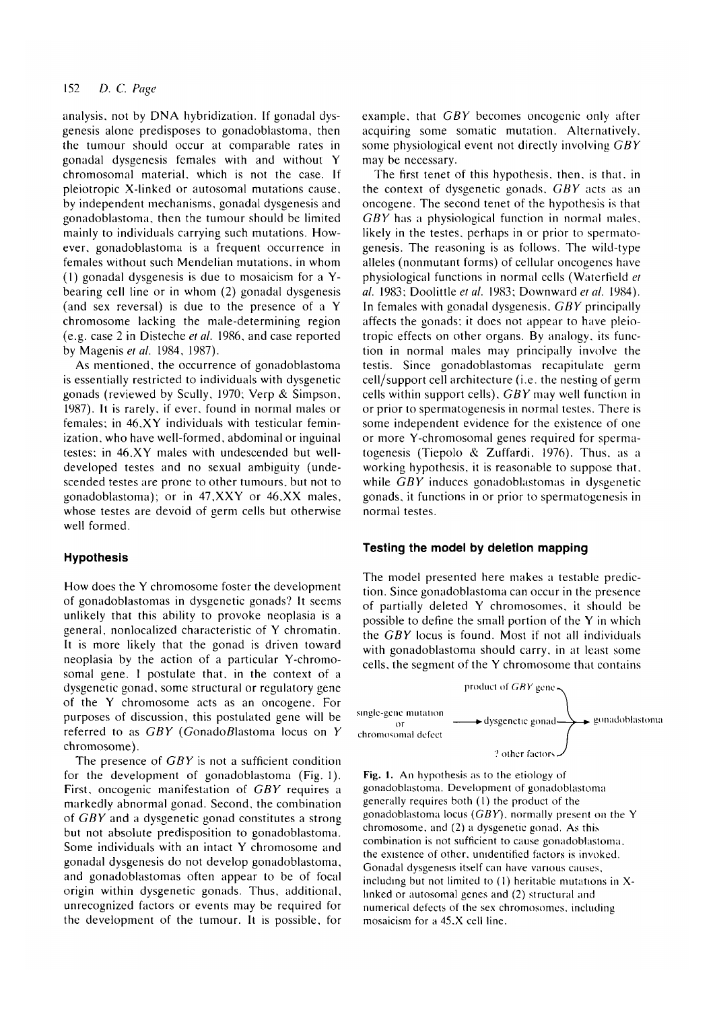# 152 *D. C. Page*

analysis, not by DNA hybridization. If gonadal dysgenesis alone predisposes to gonadoblastoma, then the tumour should occur at comparable rates in gonadal dysgenesis females with and without Y chromosomal material, which is not the case. If pleiotropic X-linked or autosomal mutations cause, by independent mechanisms, gonadal dysgenesis and gonadoblastoma, then the tumour should be limited mainly to individuals carrying such mutations. However, gonadoblastoma is a frequent occurrence in females without such Mendelian mutations, in whom (I) gonadal dysgenesis is due to mosaicism for a Ybearing cell line or in whom (2) gonadal dysgenesis (and sex reversal) is due to the presence of a Y chromosome lacking the male-determining region (e.g. case 2 in Disteche *et al.* 1986, and case reported by Magenis et al. 1984, 1987).

As mentioned, the occurrence of gonadoblastoma is essentially restricted to individuals with dysgenetic gonads (reviewed by Scully, 1970; Verp & Simpson, 1987). It is rarely, if ever, found in normal males or females; in 46,XY individuals with testicular feminization, who have well-formed, abdominal or inguinal testes; in 46.XY males with undescended but welldeveloped testes and no sexual ambiguity (undescended testes are prone to other tumours, but not to gonadoblastoma); or in 47.XXY or 46,XX males, whose testes are devoid of germ cells but otherwise well formed.

### **Hypothesis**

How does the Y chromosome foster the development of gonadoblastomas in dysgenetic gonads? It seems unlikely that this ability to provoke neoplasia is a general, nonlocalized characteristic of Y chromatin. It is more likely that the gonad is driven toward neoplasia by the action of a particular Y-chromosomal gene. I postulate that, in the context of a dysgenetic gonad, some structural or regulatory gene of the Y chromosome acts as an oncogene. For purposes of discussion, this postulated gene will be referred to as *GBY* (GonadoBlastoma locus on *Y* chromosome).

The presence of *GBY* is not a sufficient condition for the development of gonadoblastoma (Fig. 1). First, oncogenic manifestation of *GBY* requires a markedly abnormal gonad. Second, the combination of *GBY* and a dysgenetic gonad constitutes a strong but not absolute predisposition to gonadoblastoma. Some individuals with an intact Y chromosome and gonadal dysgenesis do not develop gonadoblastoma, and gonadoblastomas often appear to be of focal origin within dysgenetic gonads. Thus, additional, unrecognized factors or events may be required for the development of the tumour. It is possible, for example, that *GBY* becomes oncogenic only after acquiring some somatic mutation. Alternatively, some physiological event not directly involving *GBY* may be necessary.

The first tenet of this hypothesis, then, is that, in the context of dysgenetic gonads. *GBY* acts as an oncogene. The second tenet of the hypothesis is that *GBY* has a physiological function in normal males, likely in the testes. perhaps in or prior to spermatogenesis. The reasoning is as follows. The wild-type alleles (nonmutant forms) of cellular oncogenes have physiological functions in normal cells (Watcrfield *el al.* 1983; Doolittle *el al.* 1983; Downward *et al.* 1984). In females with gonadal dysgenesis. *GBY* principally affects the gonads; it does not appear to have pleiotropic effects on other organs. By analogy, its function in normal males may principally involve the testis. Since gonadoblastomas recapitulate germ cell/support cell architecture (i.e. the nesting of germ cells within support cells), *GBY* may well function in or prior to spermatogenesis in normal testes. There is some independent evidence for the existence of one or more Y-chromosomal genes required for spermatogenesis (Tiepolo & Zuffardi. 1976). Thus, as a working hypothesis, it is reasonable to suppose that, while *GBY* induces gonadoblastomas in dysgenetic gonads, it functions in or prior to spermatogenesis in normal testes.

## **Testing the model by deletion mapping**

The model presented here makes a testable prediction. Since gonadoblastoma can occur in the presence of partially deleted Y chromosomes, it should be possible to define the small portion of the Y in which the *GBY* locus is found. Most if not all individuals with gonadoblastoma should carry, in at least some cells, the segment of the Y chromosome that contains



Fig. 1. An hypothesis as to the etiology of gonadoblastoma. Development of gonadoblastoma generally requires both (1) the product of the gonadoblastoma locus *(GBY),* normally present on the Y chromosome, and (2) a dysgenetic gonad. As this combination is not sufficient to cause gonadoblastoma. the existence of other, unidentified factors is invoked. Gonadal dysgenesis itself can have various causes, including but not limited to (1) heritable mutations in Xlinked or autosomal genes and (2) structural and numerical defects of the sex chromosomes, including mosaicism for a 45.X cell line.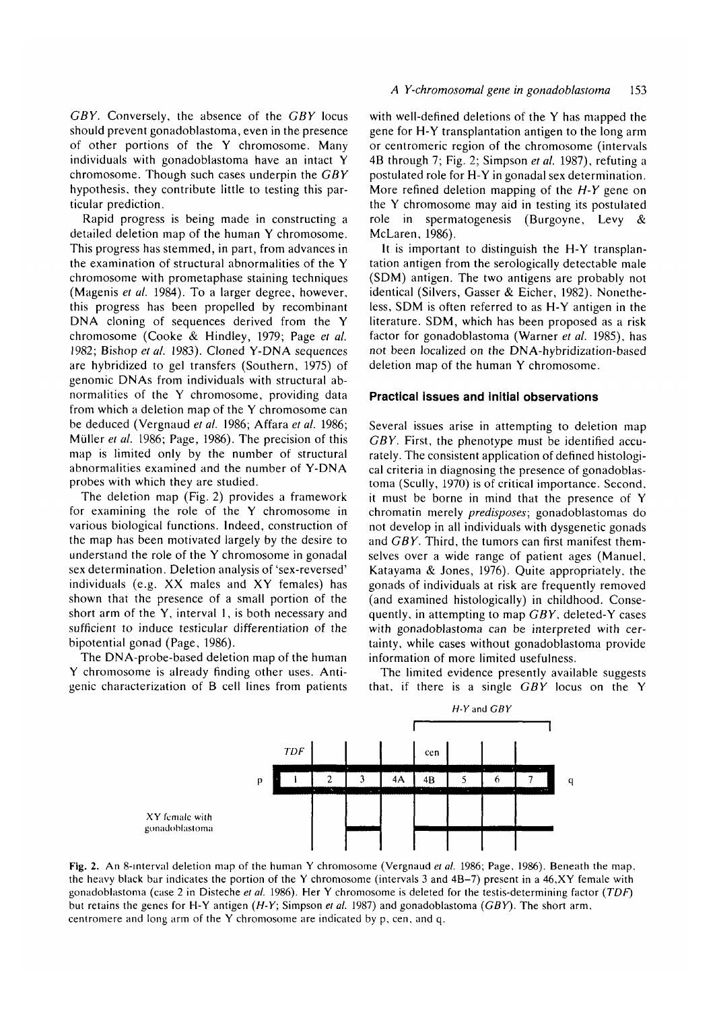*GBY.* Conversely, the absence of the *GBY* locus should prevent gonadoblastoma, even in the presence of other portions of the Y chromosome. Many individuals with gonadoblastoma have an intact Y chromosome. Though such cases underpin the *GBY* hypothesis, they contribute little to testing this particular prediction.

Rapid progress is being made in constructing a detailed deletion map of the human Y chromosome. This progress has stemmed, in part, from advances in the examination of structural abnormalities of the Y chromosome with prometaphase staining techniques (Magenis *et al.* 1984). To a larger degree, however, this progress has been propelled by recombinant DNA cloning of sequences derived from the Y chromosome (Cooke & Hindley, 1979; Page *et al.* 1982; Bishop *et al.* 1983). Cloned Y-DNA sequences are hybridized to gel transfers (Southern, 1975) of genomic DNAs from individuals with structural abnormalities of the Y chromosome, providing data from which a deletion map of the Y chromosome can be deduced (Vergnaud *et al.* 1986; Affara *et al.* 1986; Miiller *et al.* 1986; Page, 1986). The precision of this map is limited only by the number of structural abnormalities examined and the number of Y-DNA probes with which they are studied.

The deletion map (Fig. 2) provides a framework for examining the role of the Y chromosome in various biological functions. Indeed, construction of the map has been motivated largely by the desire to understand the role of the Y chromosome in gonadal sex determination. Deletion analysis of 'sex-reversed' individuals (e.g. XX males and XY females) has shown that the presence of a small portion of the short arm of the Y, interval 1, is both necessary and sufficient to induce testicular differentiation of the bipotential gonad (Page, 1986).

The DNA-probe-based deletion map of the human Y chromosome is already finding other uses. Antigenic characterization of B cell lines from patients

#### *A Y-chromosomal gene in gonadoblastoma* 153

with well-defined deletions of the Y has mapped the gene for H-Y transplantation antigen to the long arm or centromeric region of the chromosome (intervals 4B through 7; Fig. 2; Simpson *et al.* 1987), refuting a postulated role for H-Y in gonadal sex determination. More refined deletion mapping of the *H-Y* gene on the Y chromosome may aid in testing its postulated role in spermatogenesis (Burgoyne, Levy & McLaren, 1986).

It is important to distinguish the H-Y transplantation antigen from the serologically detectable male (SDM) antigen. The two antigens are probably not identical (Silvers, Gasser & Eicher, 1982). Nonetheless, SDM is often referred to as H-Y antigen in the literature. SDM, which has been proposed as a risk factor for gonadoblastoma (Warner *et al.* 1985), has not been localized on the DNA-hybridization-based deletion map of the human Y chromosome.

### **Practical Issues and initial observations**

Several issues arise in attempting to deletion map *GBY*. First, the phenotype must be identified accurately. The consistent application of defined histological criteria in diagnosing the presence of gonadoblastoma (Scully, 1970) is of critical importance. Second, it must be borne in mind that the presence of Y chromatin merely *predisposes;* gonadoblastomas do not develop in all individuals with dysgenetic gonads and *GBY.* Third, the tumors can first manifest themselves over a wide range of patient ages (Manuel, Katayama & Jones, 1976). Quite appropriately, the gonads of individuals at risk are frequently removed (and examined histologically) in childhood. Consequently, in attempting to map *GBY,* deleted-Y cases with gonadoblastoma can be interpreted with certainty, while cases without gonadoblastoma provide information of more limited usefulness.

The limited evidence presently available suggests that, if there is a single *GBY* locus on the Y



**Fig.** 2. An 8-interval deletion map of the human Y chromosome (Vergnaud *et al.* 1986; Page, 1986). Beneath the map. the heavy black bur indicates the portion of the Y chromosome (intervals 3 and 4B-7) present in a 46,XY female with gonadoblastoma (case 2 in Disteche *et al.* 1986). Her Y chromosome is deleted for the testis-determining factor *(TDF)* but retains the genes for H-Y antigen *(H-Y;* Simpson *et al.* 1987) and gonadoblastoma *(GBY).* The short arm, centromere and long arm of the Y chromosome are indicated by p, cen, and q.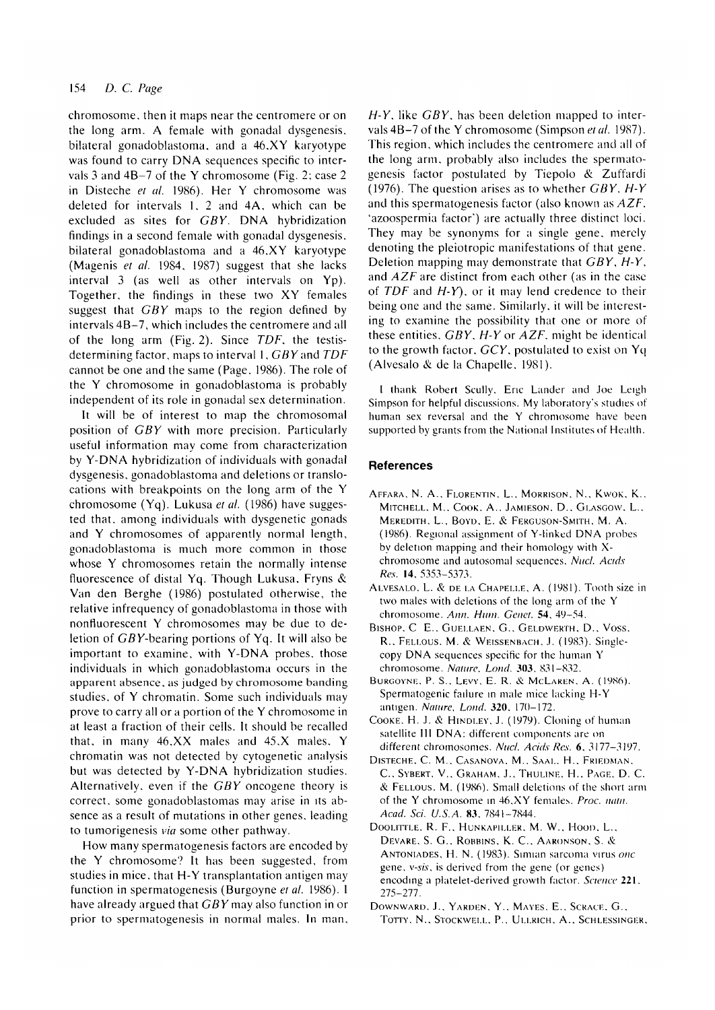## 154 *D. C. Page*

chromosome, then it maps near the centromere or on the long arm. A female with gonadal dysgenesis. bilateral gonadoblastoma, and a 46,XY karyotype was found to carry DNA sequences specific to intervals 3 and 4B-7 of the Y chromosome (Fig. 2; case 2 in Disteche *et al.* 1986). Her Y chromosome was deleted for intervals 1, 2 and 4A. which can be excluded as sites for *GBY.* DNA hybridization findings in a second female with gonadal dysgenesis, bilateral gonadoblastoma and a 46,XY karyotype (Magenis *et al.* 1984, 1987) suggest that she lacks interval 3 (as well as other intervals on Yp). Together, the findings in these two XY females suggest that *GBY* maps to the region defined by intervals 4B-7, which includes the centromere and all of the long arm (Fig. 2). Since *TDF.* the testisdetermining factor, maps to interval 1, *GBY* and *TDF* cannot be one and the same (Page. 1986). The role of the Y chromosome in gonadoblastoma is probably independent of its role in gonadal sex determination.

It will be of interest to map the chromosomal position of *GBY* with more precision. Particularly useful information may come from characterization by Y-DNA hybridization of individuals with gonadal dysgenesis, gonadoblastoma and deletions or translocations with breakpoints on the long arm of the Y chromosome (Yq). Lukusa *et al.* (1986) have suggested that, among individuals with dysgenetic gonads and Y chromosomes of apparently normal length, gonadoblastoma is much more common in those whose Y chromosomes retain the normally intense fluorescence of distal Yq. Though Lukusa, Fryns *&* Van den Berghe (1986) postulated otherwise, the relative infrequency of gonadoblastoma in those with nontiuorescent Y chromosomes may be due to deletion of CSV-bearing portions of Yq. It will also be important to examine, with Y-DNA probes, those individuals in which gonadoblastoma occurs in the apparent absence, as judged by chromosome banding studies, of Y chromatin. Some such individuals may prove to carry all or a portion of the Y chromosome in at least a fraction of their cells. It should be recalled that, in many 46,XX males and 45.X males. Y chromatin was not detected by cytogenetic analysis but was detected by Y-DNA hybridization studies. Alternatively, even if the *GBY* oncogene theory is correct, some gonadoblastomas may arise in its absence as a result of mutations in other genes, leading to tumorigenesis *via* some other pathway.

How many spermatogenesis factors are encoded by the Y chromosome? It has been suggested, from studies in mice, that H-Y transplantation antigen may function in spermatogenesis (Burgoyne *et al.* 1986). I have already argued that GBY may also function in or prior to spermatogenesis in normal males. In man.

*H-Y.* like *GBY.* has been deletion mapped to intervals4B-7 of the Y chromosome (Simpson *et al.* 1987). This region, which includes the centromere and all of the long arm, probably also includes the spermatogenesis factor postulated by Tiepolo & Zuffardi (1976). The question arises as to whether *GBY, H-Y* and this spermatogenesis factor (also known as *AZF.* 'azoospermia factor") are actually three distinct loci. They may be synonyms for a single gene, merely denoting the pleiotropic manifestations of that gene. Deletion mapping may demonstrate that *GBY. H-Y.* and *AZF* are distinct from each other (as in the case of *TDF* and *H-Y).* or it may lend credence to their being one and the same. Similarly, it will be interesting to examine the possibility that one or more of these entities. *GBY. H-Y* or *AZF.* might be identical to the growth factor. *GCY.* postulated to exist on Yq (Alvesalo & de la Chapelle. 1981).

1 thank Robert Scully. Eric Lander and Joe Leigh Simpson for helpful discussions. My laboratory's studies of human sex reversal and the Y chromosome have been supported by grants from the National Institutes of Health.

### **References**

- AFFARA, N. A., FLORENTIN, L., MORRISON, N., KWOK, K., MITCHELL. M., COOK. A., JAMIESON, D., GLASGOW. L., MEREDITH. L., BOVD. E. & FERGUSON-SMITH. M. A. (1986). Regional assignment of Y-linked DNA probes by deletion mapping and their homology with Xchromosome and autosomal sequences. *Nucl. Acids Res.* 14. 5353-5373.
- ALVESALO, L. & DE LA CHAPELLE, A. (1981). Tooth size in two males with deletions of the long arm of the Y chromosome. *Ann. Hum. Genet.* 54, 49-54.
- BISHOP. C E.. GUELLAEN. G.. GELDWERTH. D.. VOSS. R.. FELLOUS. M. & WEISSENBACH. J. (1983). Singlecopy DNA sequences specific for the human Y chromosome. *Nature. Loud.* 303. 831-832.
- BURGOYNE. P. S.. LEVY. E. R. & MCLAKEN. A. (1986). Spermatogenic failure in male mice lacking H-Y antigen. *Nature, Lond.* 320. 170-172.
- COOKE. H. J. & HINDLEY. J. (1979). Cloning of human satellite III DNA: different components are on different chromosomes. *Nucl. Acids Res.* 6. 3177-3197.
- DISTECHE. C. M.. CASANOVA. M.. SAAL. H.. FRIEDMAN. C., SYBERT, V., GRAHAM, J., THULINE, H., PAGE, D. C. & FELLOUS. M. (1986). Small deletions of the short arm of the Y chromosome in 46.XY females. *Proc. natn. Acad. Sci. U.S.A.* 83. 7841-7844.
- DOOLITTLE, R. F., HUNKAPILLER, M. W., HOOD, L., DEVARE. S. G.. ROBBINS. K. C . AARONSON. S. & ANTONIADES, H. N. (1983). Simian sarcoma virus *one* gene, *v-sis.* is derived from the gene (or genes) encoding a platelet-derived growth factor. *Science* 221. *275-2li.*
- DOWNWARD. J., YARDEN, Y., MAYES, E., SCRACE, G., TOTTY, N., STOCKWELL, P., ULLRICH, A., SCHLESSINGER,